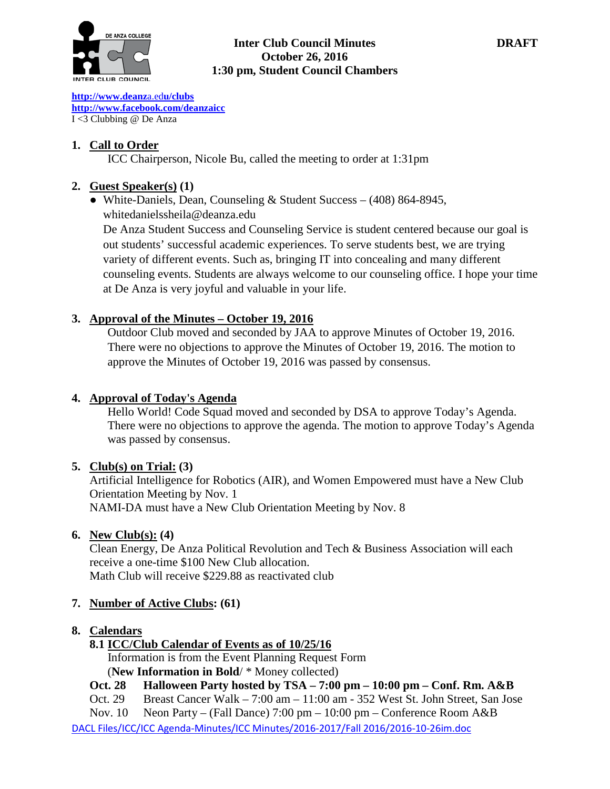

## **Inter Club Council Minutes DRAFT October 26, 2016 1:30 pm, Student Council Chambers**

**[http://www.deanz](http://www.deanza.edu/clubs)**[a.ed](http://www.deanza.edu/clubs)**[u/clubs](http://www.deanza.edu/clubs) [http://www.facebook.com/deanzaicc](http://www.facebook.com/home.php#!/group.php?gid=59034552686)** I <3 Clubbing @ De Anza

# **1. Call to Order**

ICC Chairperson, Nicole Bu, called the meeting to order at 1:31pm

# **2. Guest Speaker(s) (1)**

● White-Daniels, Dean, Counseling & Student Success – (408) 864-8945, whitedanielssheila@deanza.edu

De Anza Student Success and Counseling Service is student centered because our goal is out students' successful academic experiences. To serve students best, we are trying variety of different events. Such as, bringing IT into concealing and many different counseling events. Students are always welcome to our counseling office. I hope your time at De Anza is very joyful and valuable in your life.

# **3. Approval of the Minutes – October 19, 2016**

Outdoor Club moved and seconded by JAA to approve Minutes of October 19, 2016. There were no objections to approve the Minutes of October 19, 2016. The motion to approve the Minutes of October 19, 2016 was passed by consensus.

# **4. Approval of Today's Agenda**

Hello World! Code Squad moved and seconded by DSA to approve Today's Agenda. There were no objections to approve the agenda. The motion to approve Today's Agenda was passed by consensus.

### **5. Club(s) on Trial: (3)**

Artificial Intelligence for Robotics (AIR), and Women Empowered must have a New Club Orientation Meeting by Nov. 1 NAMI-DA must have a New Club Orientation Meeting by Nov. 8

### **6. New Club(s): (4)**

Clean Energy, De Anza Political Revolution and Tech & Business Association will each receive a one-time \$100 New Club allocation. Math Club will receive \$229.88 as reactivated club

# **7. Number of Active Clubs: (61)**

# **8. Calendars**

**8.1 ICC/Club Calendar of Events as of 10/25/16**

 Information is from the Event Planning Request Form (**New Information in Bold**/ \* Money collected)

- **Oct. 28 Halloween Party hosted by TSA – 7:00 pm – 10:00 pm – Conf. Rm. A&B**
- Oct. 29 Breast Cancer Walk 7:00 am 11:00 am 352 West St. John Street, San Jose

Nov. 10 Neon Party – (Fall Dance) 7:00 pm – 10:00 pm – Conference Room A&B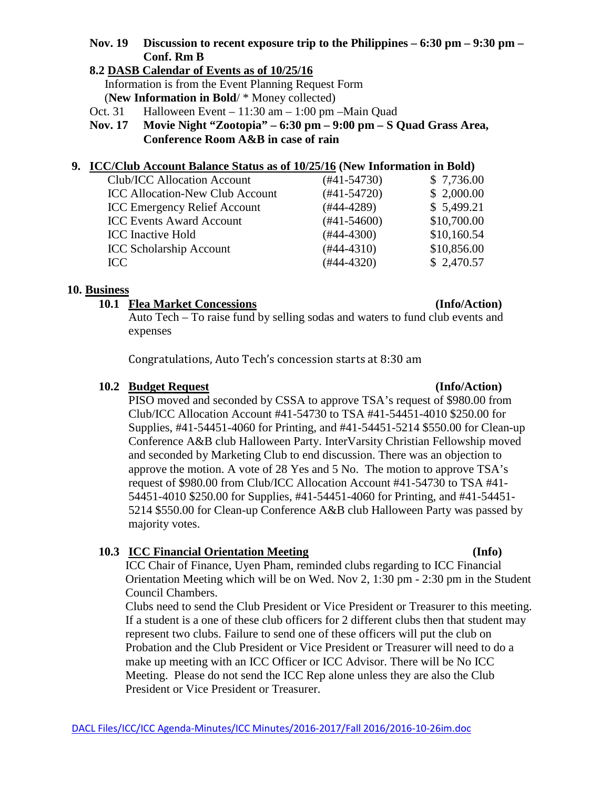# **Nov. 19 Discussion to recent exposure trip to the Philippines – 6:30 pm – 9:30 pm – Conf. Rm B**

## **8.2 DASB Calendar of Events as of 10/25/16**

Information is from the Event Planning Request Form (**New Information in Bold**/ \* Money collected)

- Oct. 31 Halloween Event 11:30 am 1:00 pm –Main Quad
- **Nov. 17 Movie Night "Zootopia" – 6:30 pm – 9:00 pm – S Quad Grass Area, Conference Room A&B in case of rain**

## **9. ICC/Club Account Balance Status as of 10/25/16 (New Information in Bold)**

| <b>Club/ICC Allocation Account</b>     | (#41-54730)   | \$7,736.00  |
|----------------------------------------|---------------|-------------|
| <b>ICC Allocation-New Club Account</b> | $(#41-54720)$ | \$2,000.00  |
| <b>ICC Emergency Relief Account</b>    | $(#44-4289)$  | \$5,499.21  |
| <b>ICC Events Award Account</b>        | $(#41-54600)$ | \$10,700.00 |
| <b>ICC</b> Inactive Hold               | $(#44-4300)$  | \$10,160.54 |
| <b>ICC Scholarship Account</b>         | $(#44-4310)$  | \$10,856.00 |
| ICC                                    | $(#44-4320)$  | \$2,470.57  |
|                                        |               |             |

### **10. Business**

## **10.1 Flea Market Concessions (Info/Action)**

Auto Tech – To raise fund by selling sodas and waters to fund club events and expenses

Congratulations, Auto Tech's concession starts at 8:30 am

## **10.2 Budget Request (Info/Action)**

# PISO moved and seconded by CSSA to approve TSA's request of \$980.00 from Club/ICC Allocation Account #41-54730 to TSA #41-54451-4010 \$250.00 for Supplies, #41-54451-4060 for Printing, and #41-54451-5214 \$550.00 for Clean-up Conference A&B club Halloween Party. InterVarsity Christian Fellowship moved and seconded by Marketing Club to end discussion. There was an objection to approve the motion. A vote of 28 Yes and 5 No. The motion to approve TSA's request of \$980.00 from Club/ICC Allocation Account #41-54730 to TSA #41- 54451-4010 \$250.00 for Supplies, #41-54451-4060 for Printing, and #41-54451- 5214 \$550.00 for Clean-up Conference A&B club Halloween Party was passed by majority votes.

# **10.3 ICC Financial Orientation Meeting (Info)**

ICC Chair of Finance, Uyen Pham, reminded clubs regarding to ICC Financial Orientation Meeting which will be on Wed. Nov 2, 1:30 pm - 2:30 pm in the Student Council Chambers.

Clubs need to send the Club President or Vice President or Treasurer to this meeting. If a student is a one of these club officers for 2 different clubs then that student may represent two clubs. Failure to send one of these officers will put the club on Probation and the Club President or Vice President or Treasurer will need to do a make up meeting with an ICC Officer or ICC Advisor. There will be No ICC Meeting. Please do not send the ICC Rep alone unless they are also the Club President or Vice President or Treasurer.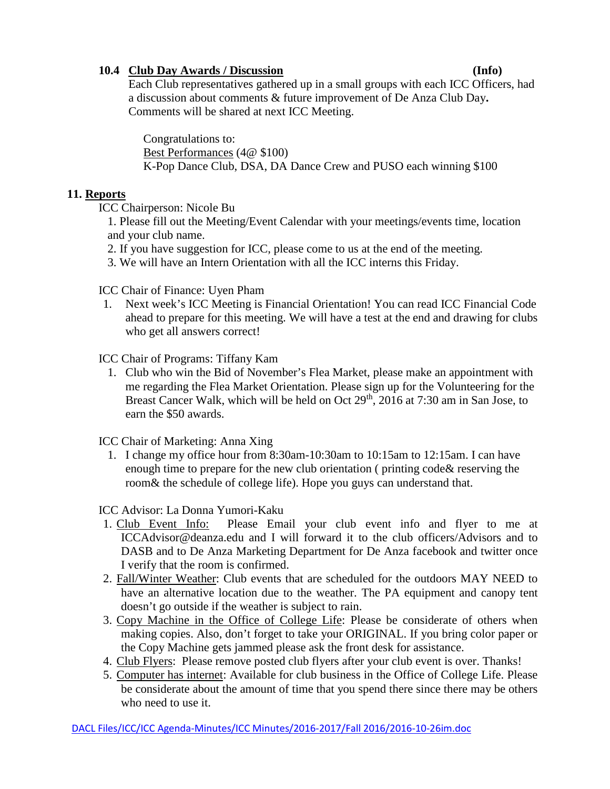# **10.4 Club Day Awards / Discussion (Info)**

Each Club representatives gathered up in a small groups with each ICC Officers, had a discussion about comments & future improvement of De Anza Club Day**.**  Comments will be shared at next ICC Meeting.

Congratulations to: Best Performances (4@ \$100) K-Pop Dance Club, DSA, DA Dance Crew and PUSO each winning \$100

# **11. Reports**

ICC Chairperson: Nicole Bu

1. Please fill out the Meeting/Event Calendar with your meetings/events time, location and your club name.

- 2. If you have suggestion for ICC, please come to us at the end of the meeting.
- 3. We will have an Intern Orientation with all the ICC interns this Friday.

ICC Chair of Finance: Uyen Pham

1. Next week's ICC Meeting is Financial Orientation! You can read ICC Financial Code ahead to prepare for this meeting. We will have a test at the end and drawing for clubs who get all answers correct!

ICC Chair of Programs: Tiffany Kam

1. Club who win the Bid of November's Flea Market, please make an appointment with me regarding the Flea Market Orientation. Please sign up for the Volunteering for the Breast Cancer Walk, which will be held on Oct  $29<sup>th</sup>$ ,  $2016$  at 7:30 am in San Jose, to earn the \$50 awards.

ICC Chair of Marketing: Anna Xing

1. I change my office hour from 8:30am-10:30am to 10:15am to 12:15am. I can have enough time to prepare for the new club orientation ( printing code& reserving the room& the schedule of college life). Hope you guys can understand that.

ICC Advisor: La Donna Yumori-Kaku

- 1. Club Event Info: Please Email your club event info and flyer to me at ICCAdvisor@deanza.edu and I will forward it to the club officers/Advisors and to DASB and to De Anza Marketing Department for De Anza facebook and twitter once I verify that the room is confirmed.
- 2. Fall/Winter Weather: Club events that are scheduled for the outdoors MAY NEED to have an alternative location due to the weather. The PA equipment and canopy tent doesn't go outside if the weather is subject to rain.
- 3. Copy Machine in the Office of College Life: Please be considerate of others when making copies. Also, don't forget to take your ORIGINAL. If you bring color paper or the Copy Machine gets jammed please ask the front desk for assistance.
- 4. Club Flyers: Please remove posted club flyers after your club event is over. Thanks!
- 5. Computer has internet: Available for club business in the Office of College Life. Please be considerate about the amount of time that you spend there since there may be others who need to use it.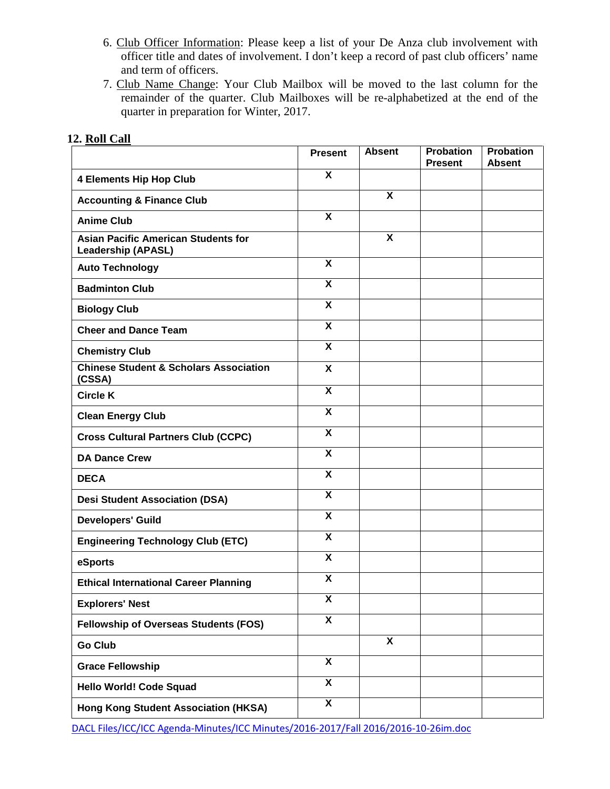- 6. Club Officer Information: Please keep a list of your De Anza club involvement with officer title and dates of involvement. I don't keep a record of past club officers' name and term of officers.
- 7. Club Name Change: Your Club Mailbox will be moved to the last column for the remainder of the quarter. Club Mailboxes will be re-alphabetized at the end of the quarter in preparation for Winter, 2017.

|                                                                         | <b>Present</b>            | <b>Absent</b>             | <b>Probation</b><br><b>Present</b> | <b>Probation</b><br><b>Absent</b> |
|-------------------------------------------------------------------------|---------------------------|---------------------------|------------------------------------|-----------------------------------|
| <b>4 Elements Hip Hop Club</b>                                          | X                         |                           |                                    |                                   |
| <b>Accounting &amp; Finance Club</b>                                    |                           | X                         |                                    |                                   |
| <b>Anime Club</b>                                                       | X                         |                           |                                    |                                   |
| <b>Asian Pacific American Students for</b><br><b>Leadership (APASL)</b> |                           | $\boldsymbol{\mathsf{X}}$ |                                    |                                   |
| <b>Auto Technology</b>                                                  | $\overline{\mathbf{x}}$   |                           |                                    |                                   |
| <b>Badminton Club</b>                                                   | X                         |                           |                                    |                                   |
| <b>Biology Club</b>                                                     | $\overline{\mathbf{x}}$   |                           |                                    |                                   |
| <b>Cheer and Dance Team</b>                                             | X                         |                           |                                    |                                   |
| <b>Chemistry Club</b>                                                   | X                         |                           |                                    |                                   |
| <b>Chinese Student &amp; Scholars Association</b><br>(CSSA)             | X                         |                           |                                    |                                   |
| <b>Circle K</b>                                                         | $\boldsymbol{\mathsf{X}}$ |                           |                                    |                                   |
| <b>Clean Energy Club</b>                                                | X                         |                           |                                    |                                   |
| <b>Cross Cultural Partners Club (CCPC)</b>                              | $\boldsymbol{\mathsf{X}}$ |                           |                                    |                                   |
| <b>DA Dance Crew</b>                                                    | $\boldsymbol{\mathsf{X}}$ |                           |                                    |                                   |
| <b>DECA</b>                                                             | $\boldsymbol{\mathsf{X}}$ |                           |                                    |                                   |
| <b>Desi Student Association (DSA)</b>                                   | $\overline{\mathbf{x}}$   |                           |                                    |                                   |
| <b>Developers' Guild</b>                                                | $\boldsymbol{\mathsf{X}}$ |                           |                                    |                                   |
| <b>Engineering Technology Club (ETC)</b>                                | $\overline{\mathbf{x}}$   |                           |                                    |                                   |
| eSports                                                                 | $\boldsymbol{\mathsf{X}}$ |                           |                                    |                                   |
| <b>Ethical International Career Planning</b>                            | X                         |                           |                                    |                                   |
| <b>Explorers' Nest</b>                                                  | $\overline{\mathbf{X}}$   |                           |                                    |                                   |
| <b>Fellowship of Overseas Students (FOS)</b>                            | $\overline{\mathbf{x}}$   |                           |                                    |                                   |
| <b>Go Club</b>                                                          |                           | $\boldsymbol{\mathsf{X}}$ |                                    |                                   |
| <b>Grace Fellowship</b>                                                 | $\overline{\mathbf{x}}$   |                           |                                    |                                   |
| <b>Hello World! Code Squad</b>                                          | $\overline{\mathbf{x}}$   |                           |                                    |                                   |
| Hong Kong Student Association (HKSA)                                    | $\overline{\mathbf{x}}$   |                           |                                    |                                   |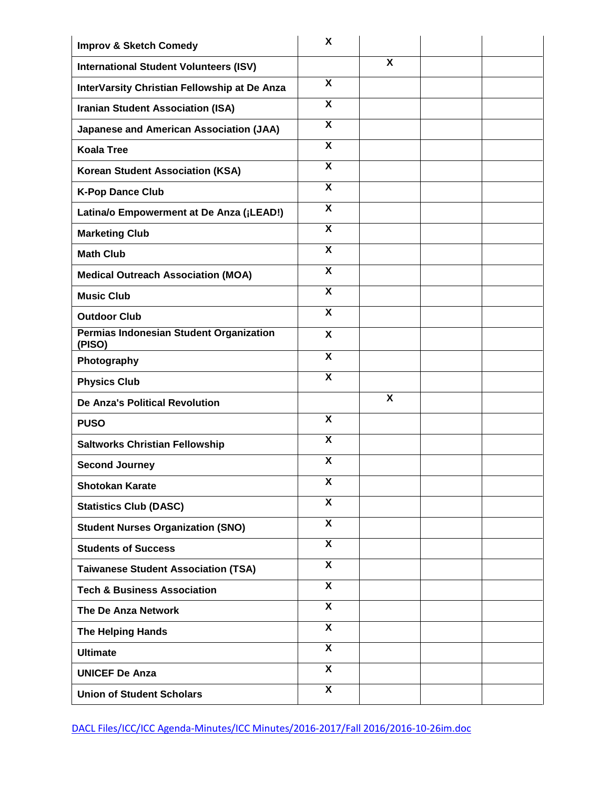| <b>Improv &amp; Sketch Comedy</b>                 | X                         |                         |  |
|---------------------------------------------------|---------------------------|-------------------------|--|
| <b>International Student Volunteers (ISV)</b>     |                           | X                       |  |
| InterVarsity Christian Fellowship at De Anza      | X                         |                         |  |
| <b>Iranian Student Association (ISA)</b>          | X                         |                         |  |
| <b>Japanese and American Association (JAA)</b>    | $\overline{\mathbf{x}}$   |                         |  |
| <b>Koala Tree</b>                                 | $\overline{\mathbf{x}}$   |                         |  |
| Korean Student Association (KSA)                  | $\overline{\mathbf{x}}$   |                         |  |
| <b>K-Pop Dance Club</b>                           | $\boldsymbol{\mathsf{X}}$ |                         |  |
| Latina/o Empowerment at De Anza (¡LEAD!)          | $\overline{\mathbf{x}}$   |                         |  |
| <b>Marketing Club</b>                             | $\boldsymbol{\mathsf{X}}$ |                         |  |
| <b>Math Club</b>                                  | $\boldsymbol{\mathsf{x}}$ |                         |  |
| <b>Medical Outreach Association (MOA)</b>         | X                         |                         |  |
| <b>Music Club</b>                                 | $\overline{\mathbf{x}}$   |                         |  |
| <b>Outdoor Club</b>                               | X                         |                         |  |
| Permias Indonesian Student Organization<br>(PISO) | $\boldsymbol{\mathsf{X}}$ |                         |  |
| Photography                                       | $\boldsymbol{\mathsf{X}}$ |                         |  |
| <b>Physics Club</b>                               | X                         |                         |  |
| <b>De Anza's Political Revolution</b>             |                           | $\overline{\mathbf{x}}$ |  |
| <b>PUSO</b>                                       | $\boldsymbol{\mathsf{X}}$ |                         |  |
| <b>Saltworks Christian Fellowship</b>             | $\boldsymbol{\mathsf{X}}$ |                         |  |
| <b>Second Journey</b>                             | $\boldsymbol{\mathsf{X}}$ |                         |  |
| <b>Shotokan Karate</b>                            | X                         |                         |  |
| <b>Statistics Club (DASC)</b>                     | X                         |                         |  |
| <b>Student Nurses Organization (SNO)</b>          | $\overline{\mathbf{x}}$   |                         |  |
| <b>Students of Success</b>                        | $\mathsf{x}$              |                         |  |
| <b>Taiwanese Student Association (TSA)</b>        | $\overline{\mathbf{x}}$   |                         |  |
| <b>Tech &amp; Business Association</b>            | X                         |                         |  |
| The De Anza Network                               | $\overline{\mathbf{x}}$   |                         |  |
| The Helping Hands                                 | X                         |                         |  |
| <b>Ultimate</b>                                   | $\mathsf{x}$              |                         |  |
| <b>UNICEF De Anza</b>                             | $\boldsymbol{\mathsf{X}}$ |                         |  |
| <b>Union of Student Scholars</b>                  | $\overline{\mathbf{X}}$   |                         |  |